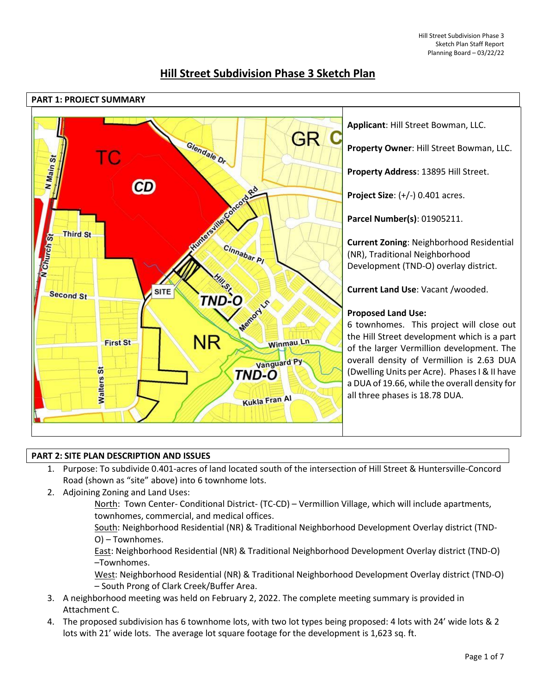

# **Hill Street Subdivision Phase 3 Sketch Plan**

# **PART 2: SITE PLAN DESCRIPTION AND ISSUES**

- 1. Purpose: To subdivide 0.401-acres of land located south of the intersection of Hill Street & Huntersville-Concord Road (shown as "site" above) into 6 townhome lots.
- 2. Adjoining Zoning and Land Uses:
	- North: Town Center- Conditional District- (TC-CD) Vermillion Village, which will include apartments, townhomes, commercial, and medical offices.

South: Neighborhood Residential (NR) & Traditional Neighborhood Development Overlay district (TND-O) – Townhomes.

East: Neighborhood Residential (NR) & Traditional Neighborhood Development Overlay district (TND-O) –Townhomes.

West: Neighborhood Residential (NR) & Traditional Neighborhood Development Overlay district (TND-O) – South Prong of Clark Creek/Buffer Area.

- 3. A neighborhood meeting was held on February 2, 2022. The complete meeting summary is provided in Attachment C.
- 4. The proposed subdivision has 6 townhome lots, with two lot types being proposed: 4 lots with 24' wide lots & 2 lots with 21' wide lots. The average lot square footage for the development is 1,623 sq. ft.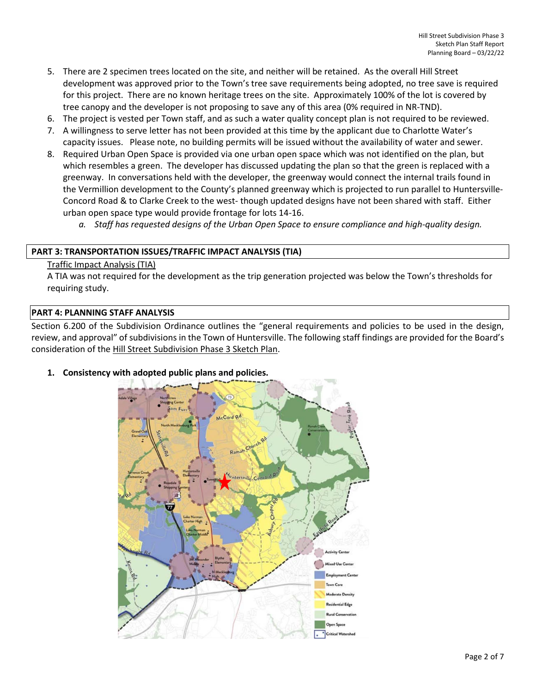- 5. There are 2 specimen trees located on the site, and neither will be retained. As the overall Hill Street development was approved prior to the Town's tree save requirements being adopted, no tree save is required for this project. There are no known heritage trees on the site. Approximately 100% of the lot is covered by tree canopy and the developer is not proposing to save any of this area (0% required in NR-TND).
- 6. The project is vested per Town staff, and as such a water quality concept plan is not required to be reviewed.
- 7. A willingness to serve letter has not been provided at this time by the applicant due to Charlotte Water's capacity issues. Please note, no building permits will be issued without the availability of water and sewer.
- 8. Required Urban Open Space is provided via one urban open space which was not identified on the plan, but which resembles a green. The developer has discussed updating the plan so that the green is replaced with a greenway. In conversations held with the developer, the greenway would connect the internal trails found in the Vermillion development to the County's planned greenway which is projected to run parallel to Huntersville-Concord Road & to Clarke Creek to the west- though updated designs have not been shared with staff. Either urban open space type would provide frontage for lots 14-16.
	- *a. Staff has requested designs of the Urban Open Space to ensure compliance and high-quality design.*

# **PART 3: TRANSPORTATION ISSUES/TRAFFIC IMPACT ANALYSIS (TIA)**

#### Traffic Impact Analysis (TIA)

A TIA was not required for the development as the trip generation projected was below the Town's thresholds for requiring study.

# **PART 4: PLANNING STAFF ANALYSIS**

Section 6.200 of the Subdivision Ordinance outlines the "general requirements and policies to be used in the design, review, and approval" of subdivisions in the Town of Huntersville. The following staff findings are provided for the Board's consideration of the Hill Street Subdivision Phase 3 Sketch Plan.

**Open Space** 

# $A \in \text{Card } R$ own Core

#### **1. Consistency with adopted public plans and policies.**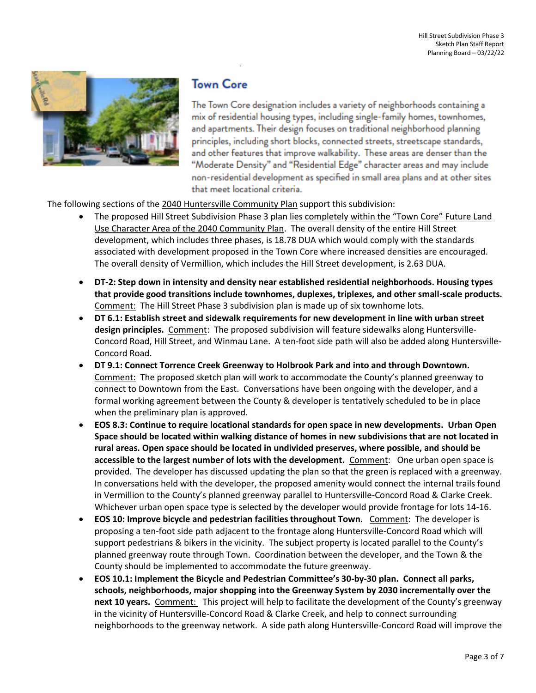

# **Town Core**

The Town Core designation includes a variety of neighborhoods containing a mix of residential housing types, including single-family homes, townhomes, and apartments. Their design focuses on traditional neighborhood planning principles, including short blocks, connected streets, streetscape standards, and other features that improve walkability. These areas are denser than the "Moderate Density" and "Residential Edge" character areas and may include non-residential development as specified in small area plans and at other sites that meet locational criteria.

The following sections of the 2040 Huntersville Community Plan support this subdivision:

- The proposed Hill Street Subdivision Phase 3 plan lies completely within the "Town Core" Future Land Use Character Area of the 2040 Community Plan. The overall density of the entire Hill Street development, which includes three phases, is 18.78 DUA which would comply with the standards associated with development proposed in the Town Core where increased densities are encouraged. The overall density of Vermillion, which includes the Hill Street development, is 2.63 DUA.
- **DT-2: Step down in intensity and density near established residential neighborhoods. Housing types that provide good transitions include townhomes, duplexes, triplexes, and other small-scale products.** Comment: The Hill Street Phase 3 subdivision plan is made up of six townhome lots.
- **DT 6.1: Establish street and sidewalk requirements for new development in line with urban street design principles.** Comment: The proposed subdivision will feature sidewalks along Huntersville-Concord Road, Hill Street, and Winmau Lane. A ten-foot side path will also be added along Huntersville-Concord Road.
- **DT 9.1: Connect Torrence Creek Greenway to Holbrook Park and into and through Downtown.** Comment: The proposed sketch plan will work to accommodate the County's planned greenway to connect to Downtown from the East. Conversations have been ongoing with the developer, and a formal working agreement between the County & developer is tentatively scheduled to be in place when the preliminary plan is approved.
- **EOS 8.3: Continue to require locational standards for open space in new developments. Urban Open Space should be located within walking distance of homes in new subdivisions that are not located in rural areas. Open space should be located in undivided preserves, where possible, and should be accessible to the largest number of lots with the development.** Comment: One urban open space is provided. The developer has discussed updating the plan so that the green is replaced with a greenway. In conversations held with the developer, the proposed amenity would connect the internal trails found in Vermillion to the County's planned greenway parallel to Huntersville-Concord Road & Clarke Creek. Whichever urban open space type is selected by the developer would provide frontage for lots 14-16.
- **EOS 10: Improve bicycle and pedestrian facilities throughout Town.** Comment:The developer is proposing a ten-foot side path adjacent to the frontage along Huntersville-Concord Road which will support pedestrians & bikers in the vicinity. The subject property is located parallel to the County's planned greenway route through Town. Coordination between the developer, and the Town & the County should be implemented to accommodate the future greenway.
- **EOS 10.1: Implement the Bicycle and Pedestrian Committee's 30-by-30 plan. Connect all parks, schools, neighborhoods, major shopping into the Greenway System by 2030 incrementally over the next 10 years.** Comment: This project will help to facilitate the development of the County's greenway in the vicinity of Huntersville-Concord Road & Clarke Creek, and help to connect surrounding neighborhoods to the greenway network. A side path along Huntersville-Concord Road will improve the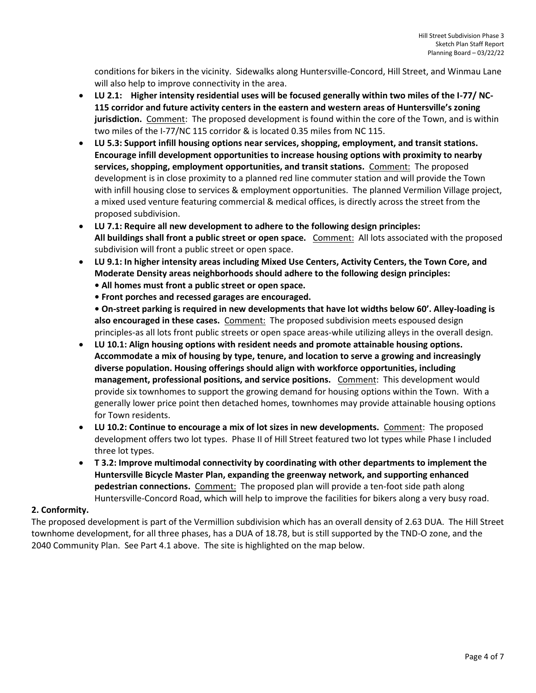conditions for bikers in the vicinity. Sidewalks along Huntersville-Concord, Hill Street, and Winmau Lane will also help to improve connectivity in the area.

- **LU 2.1: Higher intensity residential uses will be focused generally within two miles of the I-77/ NC-115 corridor and future activity centers in the eastern and western areas of Huntersville's zoning jurisdiction.** Comment:The proposed development is found within the core of the Town, and is within two miles of the I-77/NC 115 corridor & is located 0.35 miles from NC 115.
- **LU 5.3: Support infill housing options near services, shopping, employment, and transit stations. Encourage infill development opportunities to increase housing options with proximity to nearby**  services, shopping, employment opportunities, and transit stations. Comment: The proposed development is in close proximity to a planned red line commuter station and will provide the Town with infill housing close to services & employment opportunities. The planned Vermilion Village project, a mixed used venture featuring commercial & medical offices, is directly across the street from the proposed subdivision.
- **LU 7.1: Require all new development to adhere to the following design principles: All buildings shall front a public street or open space.** Comment: All lots associated with the proposed subdivision will front a public street or open space.
- **LU 9.1: In higher intensity areas including Mixed Use Centers, Activity Centers, the Town Core, and Moderate Density areas neighborhoods should adhere to the following design principles:** 
	- **All homes must front a public street or open space.**
	- **Front porches and recessed garages are encouraged.**

**• On-street parking is required in new developments that have lot widths below 60'. Alley-loading is also encouraged in these cases.** Comment: The proposed subdivision meets espoused design principles-as all lots front public streets or open space areas-while utilizing alleys in the overall design.

- **LU 10.1: Align housing options with resident needs and promote attainable housing options. Accommodate a mix of housing by type, tenure, and location to serve a growing and increasingly diverse population. Housing offerings should align with workforce opportunities, including management, professional positions, and service positions.** Comment: This development would provide six townhomes to support the growing demand for housing options within the Town. With a generally lower price point then detached homes, townhomes may provide attainable housing options for Town residents.
- LU 10.2: Continue to encourage a mix of lot sizes in new developments. Comment: The proposed development offers two lot types. Phase II of Hill Street featured two lot types while Phase I included three lot types.
- **T 3.2: Improve multimodal connectivity by coordinating with other departments to implement the Huntersville Bicycle Master Plan, expanding the greenway network, and supporting enhanced pedestrian connections.** Comment: The proposed plan will provide a ten-foot side path along Huntersville-Concord Road, which will help to improve the facilities for bikers along a very busy road.

# **2. Conformity.**

The proposed development is part of the Vermillion subdivision which has an overall density of 2.63 DUA. The Hill Street townhome development, for all three phases, has a DUA of 18.78, but is still supported by the TND-O zone, and the 2040 Community Plan. See Part 4.1 above. The site is highlighted on the map below.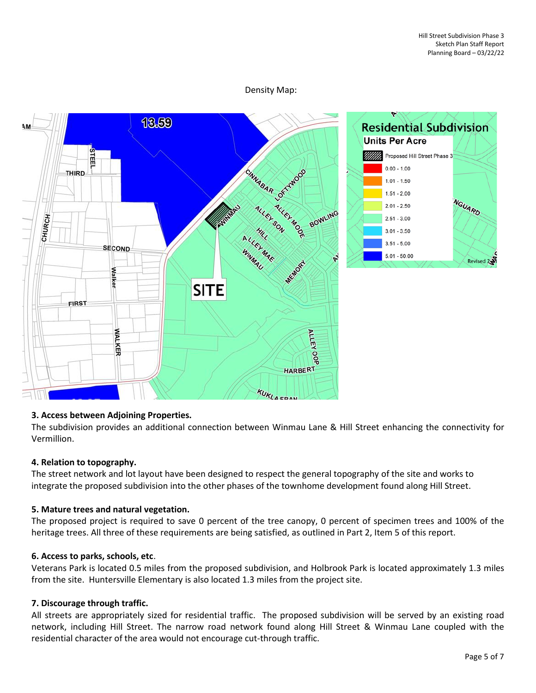## Density Map:



#### **3. Access between Adjoining Properties.**

The subdivision provides an additional connection between Winmau Lane & Hill Street enhancing the connectivity for Vermillion.

#### **4. Relation to topography.**

The street network and lot layout have been designed to respect the general topography of the site and works to integrate the proposed subdivision into the other phases of the townhome development found along Hill Street.

# **5. Mature trees and natural vegetation.**

The proposed project is required to save 0 percent of the tree canopy, 0 percent of specimen trees and 100% of the heritage trees. All three of these requirements are being satisfied, as outlined in Part 2, Item 5 of this report.

#### **6. Access to parks, schools, etc**.

Veterans Park is located 0.5 miles from the proposed subdivision, and Holbrook Park is located approximately 1.3 miles from the site. Huntersville Elementary is also located 1.3 miles from the project site.

#### **7. Discourage through traffic.**

All streets are appropriately sized for residential traffic. The proposed subdivision will be served by an existing road network, including Hill Street. The narrow road network found along Hill Street & Winmau Lane coupled with the residential character of the area would not encourage cut-through traffic.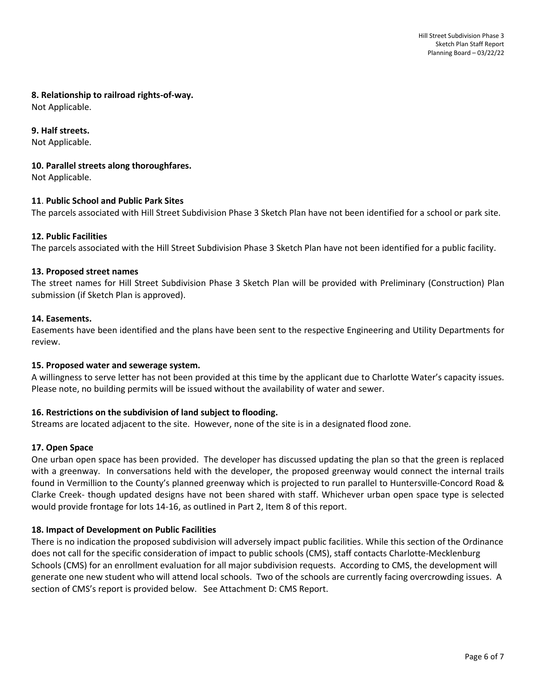#### **8. Relationship to railroad rights-of-way.**

Not Applicable.

## **9. Half streets.**

Not Applicable.

#### **10. Parallel streets along thoroughfares.**

Not Applicable.

#### **11**. **Public School and Public Park Sites**

The parcels associated with Hill Street Subdivision Phase 3 Sketch Plan have not been identified for a school or park site.

# **12. Public Facilities**

The parcels associated with the Hill Street Subdivision Phase 3 Sketch Plan have not been identified for a public facility.

#### **13. Proposed street names**

The street names for Hill Street Subdivision Phase 3 Sketch Plan will be provided with Preliminary (Construction) Plan submission (if Sketch Plan is approved).

#### **14. Easements.**

Easements have been identified and the plans have been sent to the respective Engineering and Utility Departments for review.

#### **15. Proposed water and sewerage system.**

A willingness to serve letter has not been provided at this time by the applicant due to Charlotte Water's capacity issues. Please note, no building permits will be issued without the availability of water and sewer.

# **16. Restrictions on the subdivision of land subject to flooding.**

Streams are located adjacent to the site. However, none of the site is in a designated flood zone.

# **17. Open Space**

One urban open space has been provided. The developer has discussed updating the plan so that the green is replaced with a greenway. In conversations held with the developer, the proposed greenway would connect the internal trails found in Vermillion to the County's planned greenway which is projected to run parallel to Huntersville-Concord Road & Clarke Creek- though updated designs have not been shared with staff. Whichever urban open space type is selected would provide frontage for lots 14-16, as outlined in Part 2, Item 8 of this report.

# **18. Impact of Development on Public Facilities**

There is no indication the proposed subdivision will adversely impact public facilities. While this section of the Ordinance does not call for the specific consideration of impact to public schools (CMS), staff contacts Charlotte-Mecklenburg Schools (CMS) for an enrollment evaluation for all major subdivision requests. According to CMS, the development will generate one new student who will attend local schools. Two of the schools are currently facing overcrowding issues. A section of CMS's report is provided below. See Attachment D: CMS Report.